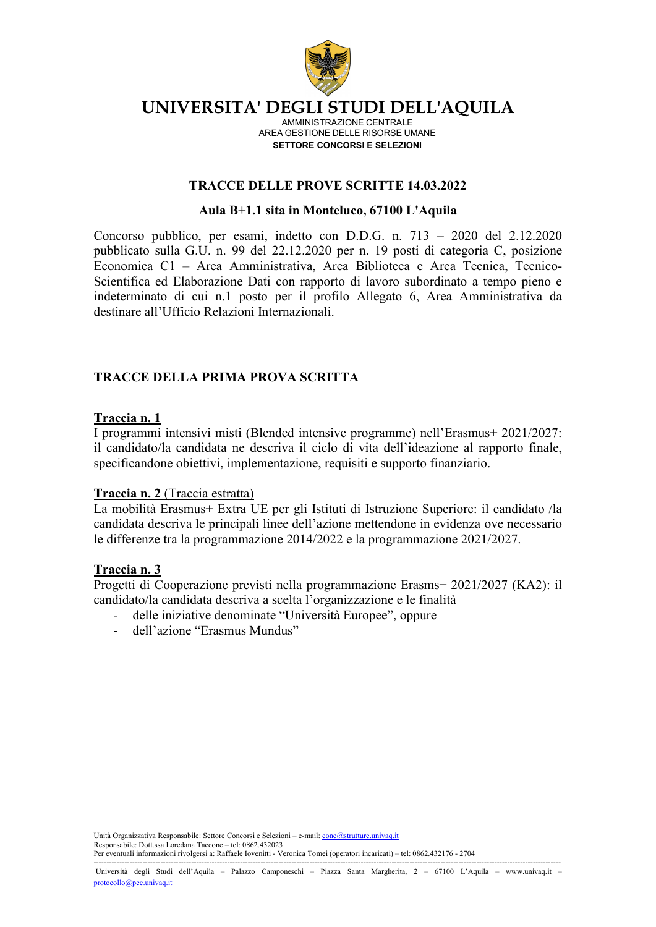

AMMINISTRAZIONE CENTRALE AREA GESTIONE DELLE RISORSE UMANE **SETTORE CONCORSI E SELEZIONI**

### **TRACCE DELLE PROVE SCRITTE 14.03.2022**

### **Aula B+1.1 sita in Monteluco, 67100 L'Aquila**

Concorso pubblico, per esami, indetto con D.D.G. n. 713 – 2020 del 2.12.2020 pubblicato sulla G.U. n. 99 del 22.12.2020 per n. 19 posti di categoria C, posizione Economica C1 – Area Amministrativa, Area Biblioteca e Area Tecnica, Tecnico-Scientifica ed Elaborazione Dati con rapporto di lavoro subordinato a tempo pieno e indeterminato di cui n.1 posto per il profilo Allegato 6, Area Amministrativa da destinare all'Ufficio Relazioni Internazionali.

## **TRACCE DELLA PRIMA PROVA SCRITTA**

### **Traccia n. 1**

I programmi intensivi misti (Blended intensive programme) nell'Erasmus+ 2021/2027: il candidato/la candidata ne descriva il ciclo di vita dell'ideazione al rapporto finale, specificandone obiettivi, implementazione, requisiti e supporto finanziario.

#### **Traccia n. 2** (Traccia estratta)

La mobilità Erasmus+ Extra UE per gli Istituti di Istruzione Superiore: il candidato /la candidata descriva le principali linee dell'azione mettendone in evidenza ove necessario le differenze tra la programmazione 2014/2022 e la programmazione 2021/2027.

#### **Traccia n. 3**

Progetti di Cooperazione previsti nella programmazione Erasms+ 2021/2027 (KA2): il candidato/la candidata descriva a scelta l'organizzazione e le finalità

- delle iniziative denominate "Università Europee", oppure
- dell'azione "Erasmus Mundus"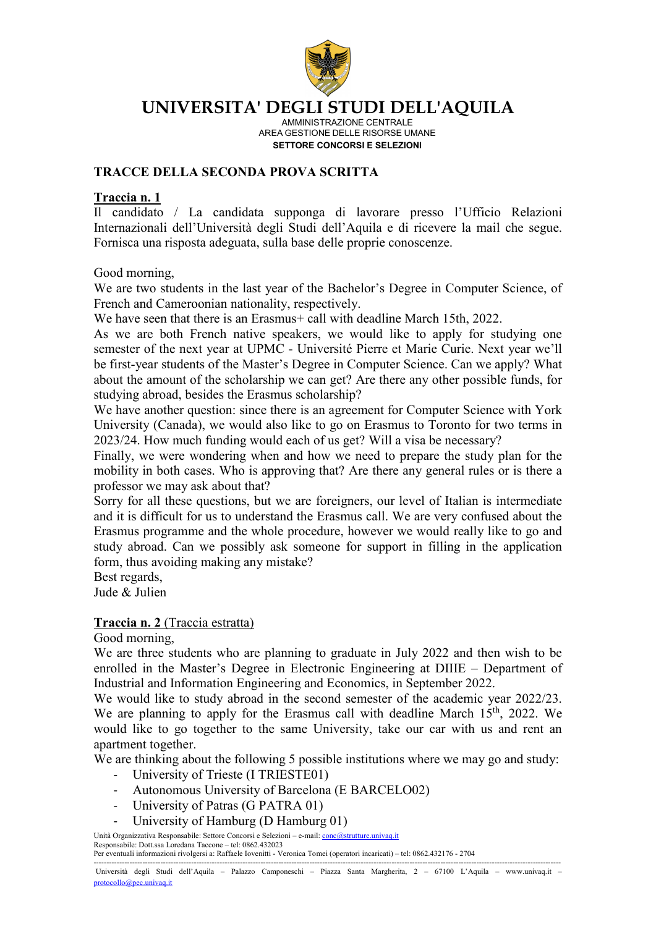

AMMINISTRAZIONE CENTRALE AREA GESTIONE DELLE RISORSE UMANE **SETTORE CONCORSI E SELEZIONI**

## **TRACCE DELLA SECONDA PROVA SCRITTA**

### **Traccia n. 1**

Il candidato / La candidata supponga di lavorare presso l'Ufficio Relazioni Internazionali dell'Università degli Studi dell'Aquila e di ricevere la mail che segue. Fornisca una risposta adeguata, sulla base delle proprie conoscenze.

Good morning,

We are two students in the last year of the Bachelor's Degree in Computer Science, of French and Cameroonian nationality, respectively.

We have seen that there is an Erasmus+ call with deadline March 15th, 2022.

As we are both French native speakers, we would like to apply for studying one semester of the next year at UPMC - Université Pierre et Marie Curie. Next year we'll be first-year students of the Master's Degree in Computer Science. Can we apply? What about the amount of the scholarship we can get? Are there any other possible funds, for studying abroad, besides the Erasmus scholarship?

We have another question: since there is an agreement for Computer Science with York University (Canada), we would also like to go on Erasmus to Toronto for two terms in 2023/24. How much funding would each of us get? Will a visa be necessary?

Finally, we were wondering when and how we need to prepare the study plan for the mobility in both cases. Who is approving that? Are there any general rules or is there a professor we may ask about that?

Sorry for all these questions, but we are foreigners, our level of Italian is intermediate and it is difficult for us to understand the Erasmus call. We are very confused about the Erasmus programme and the whole procedure, however we would really like to go and study abroad. Can we possibly ask someone for support in filling in the application form, thus avoiding making any mistake?

Best regards,

Jude & Julien

### **Traccia n. 2** (Traccia estratta)

Good morning,

We are three students who are planning to graduate in July 2022 and then wish to be enrolled in the Master's Degree in Electronic Engineering at DIIIE – Department of Industrial and Information Engineering and Economics, in September 2022.

We would like to study abroad in the second semester of the academic year 2022/23. We are planning to apply for the Erasmus call with deadline March  $15<sup>th</sup>$ , 2022. We would like to go together to the same University, take our car with us and rent an apartment together.

We are thinking about the following 5 possible institutions where we may go and study:

- University of Trieste (I TRIESTE01)
- Autonomous University of Barcelona (E BARCELO02)
- University of Patras (G PATRA 01)
- University of Hamburg (D Hamburg 01)

Unità Organizzativa Responsabile: Settore Concorsi e Selezioni – e-mail: *conc@strutture.univaq.it* Responsabile: Dott.ssa Loredana Taccone – tel: 0862.432023 Per eventuali informazioni rivolgersi a: Raffaele Iovenitti - Veronica Tomei (operatori incaricati) – tel: 0862.432176 - 2704

-------------------------------------------------------------------------------------------------------------------------------------------------------------------------------------- Università degli Studi dell'Aquila – Palazzo Camponeschi – Piazza Santa Margherita, 2 – 67100 L'Aquila – www.univaq.it – [protocollo@pec.univaq.it](mailto:protocollo@pec.univaq.it)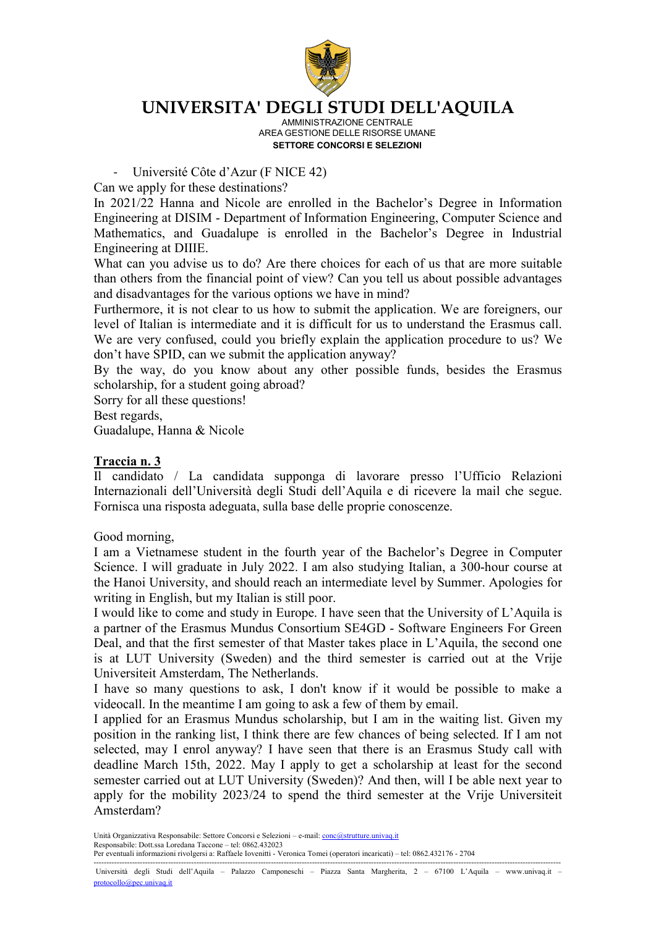

AMMINISTRAZIONE CENTRALE AREA GESTIONE DELLE RISORSE UMANE **SETTORE CONCORSI E SELEZIONI**

- Université Côte d'Azur (F NICE 42)

Can we apply for these destinations?

In 2021/22 Hanna and Nicole are enrolled in the Bachelor's Degree in Information Engineering at DISIM - Department of Information Engineering, Computer Science and Mathematics, and Guadalupe is enrolled in the Bachelor's Degree in Industrial Engineering at DIIIE.

What can you advise us to do? Are there choices for each of us that are more suitable than others from the financial point of view? Can you tell us about possible advantages and disadvantages for the various options we have in mind?

Furthermore, it is not clear to us how to submit the application. We are foreigners, our level of Italian is intermediate and it is difficult for us to understand the Erasmus call. We are very confused, could you briefly explain the application procedure to us? We don't have SPID, can we submit the application anyway?

By the way, do you know about any other possible funds, besides the Erasmus scholarship, for a student going abroad?

Sorry for all these questions!

Best regards,

Guadalupe, Hanna & Nicole

## **Traccia n. 3**

Il candidato / La candidata supponga di lavorare presso l'Ufficio Relazioni Internazionali dell'Università degli Studi dell'Aquila e di ricevere la mail che segue. Fornisca una risposta adeguata, sulla base delle proprie conoscenze.

Good morning,

I am a Vietnamese student in the fourth year of the Bachelor's Degree in Computer Science. I will graduate in July 2022. I am also studying Italian, a 300-hour course at the Hanoi University, and should reach an intermediate level by Summer. Apologies for writing in English, but my Italian is still poor.

I would like to come and study in Europe. I have seen that the University of L'Aquila is a partner of the Erasmus Mundus Consortium SE4GD - Software Engineers For Green Deal, and that the first semester of that Master takes place in L'Aquila, the second one is at LUT University (Sweden) and the third semester is carried out at the Vrije Universiteit Amsterdam, The Netherlands.

I have so many questions to ask, I don't know if it would be possible to make a videocall. In the meantime I am going to ask a few of them by email.

I applied for an Erasmus Mundus scholarship, but I am in the waiting list. Given my position in the ranking list, I think there are few chances of being selected. If I am not selected, may I enrol anyway? I have seen that there is an Erasmus Study call with deadline March 15th, 2022. May I apply to get a scholarship at least for the second semester carried out at LUT University (Sweden)? And then, will I be able next year to apply for the mobility 2023/24 to spend the third semester at the Vrije Universiteit Amsterdam?

Unità Organizzativa Responsabile: Settore Concorsi e Selezioni - e-mail: *conc@strutture.univaq.it* Responsabile: Dott.ssa Loredana Taccone – tel: 0862.432023 Per eventuali informazioni rivolgersi a: Raffaele Iovenitti - Veronica Tomei (operatori incaricati) – tel: 0862.432176 - 2704

-------------------------------------------------------------------------------------------------------------------------------------------------------------------------------------- Università degli Studi dell'Aquila – Palazzo Camponeschi – Piazza Santa Margherita, 2 – 67100 L'Aquila – www.univaq.it – [protocollo@pec.univaq.it](mailto:protocollo@pec.univaq.it)